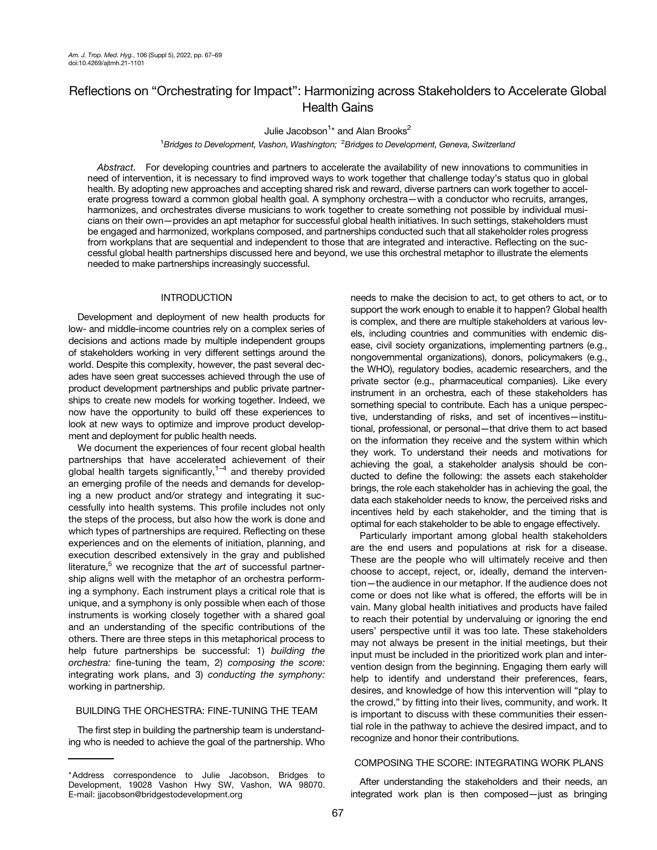# Reflections on "Orchestrating for Impact": Harmonizing across Stakeholders to Accelerate Global Health Gains

Julie Jacobson<sup>1</sup>\* and Alan Brooks<sup>2</sup>

<sup>1</sup>Bridges to Development, Vashon, Washington; <sup>2</sup>Bridges to Development, Geneva, Switzerland

Abstract. For developing countries and partners to accelerate the availability of new innovations to communities in need of intervention, it is necessary to find improved ways to work together that challenge today's status quo in global health. By adopting new approaches and accepting shared risk and reward, diverse partners can work together to accelerate progress toward a common global health goal. A symphony orchestra—with a conductor who recruits, arranges, harmonizes, and orchestrates diverse musicians to work together to create something not possible by individual musicians on their own—provides an apt metaphor for successful global health initiatives. In such settings, stakeholders must be engaged and harmonized, workplans composed, and partnerships conducted such that all stakeholder roles progress from workplans that are sequential and independent to those that are integrated and interactive. Reflecting on the successful global health partnerships discussed here and beyond, we use this orchestral metaphor to illustrate the elements needed to make partnerships increasingly successful.

## INTRODUCTION

Development and deployment of new health products for low- and middle-income countries rely on a complex series of decisions and actions made by multiple independent groups of stakeholders working in very different settings around the world. Despite this complexity, however, the past several decades have seen great successes achieved through the use of product development partnerships and public private partnerships to create new models for working together. Indeed, we now have the opportunity to build off these experiences to look at new ways to optimize and improve product development and deployment for public health needs.

We document the experiences of four recent global health partnerships that have accelerated achievement of their global health targets significantly, $1-4$  $1-4$  and thereby provided an emerging profile of the needs and demands for developing a new product and/or strategy and integrating it successfully into health systems. This profile includes not only the steps of the process, but also how the work is done and which types of partnerships are required. Reflecting on these experiences and on the elements of initiation, planning, and execution described extensively in the gray and published literature, $5$  we recognize that the art of successful partnership aligns well with the metaphor of an orchestra performing a symphony. Each instrument plays a critical role that is unique, and a symphony is only possible when each of those instruments is working closely together with a shared goal and an understanding of the specific contributions of the others. There are three steps in this metaphorical process to help future partnerships be successful: 1) building the orchestra: fine-tuning the team, 2) composing the score: integrating work plans, and 3) conducting the symphony: working in partnership.

## BUILDING THE ORCHESTRA: FINE-TUNING THE TEAM

The first step in building the partnership team is understanding who is needed to achieve the goal of the partnership. Who needs to make the decision to act, to get others to act, or to support the work enough to enable it to happen? Global health is complex, and there are multiple stakeholders at various levels, including countries and communities with endemic disease, civil society organizations, implementing partners (e.g., nongovernmental organizations), donors, policymakers (e.g., the WHO), regulatory bodies, academic researchers, and the private sector (e.g., pharmaceutical companies). Like every instrument in an orchestra, each of these stakeholders has something special to contribute. Each has a unique perspective, understanding of risks, and set of incentives—institutional, professional, or personal—that drive them to act based on the information they receive and the system within which they work. To understand their needs and motivations for achieving the goal, a stakeholder analysis should be conducted to define the following: the assets each stakeholder brings, the role each stakeholder has in achieving the goal, the data each stakeholder needs to know, the perceived risks and incentives held by each stakeholder, and the timing that is optimal for each stakeholder to be able to engage effectively.

Particularly important among global health stakeholders are the end users and populations at risk for a disease. These are the people who will ultimately receive and then choose to accept, reject, or, ideally, demand the intervention—the audience in our metaphor. If the audience does not come or does not like what is offered, the efforts will be in vain. Many global health initiatives and products have failed to reach their potential by undervaluing or ignoring the end users' perspective until it was too late. These stakeholders may not always be present in the initial meetings, but their input must be included in the prioritized work plan and intervention design from the beginning. Engaging them early will help to identify and understand their preferences, fears, desires, and knowledge of how this intervention will "play to the crowd," by fitting into their lives, community, and work. It is important to discuss with these communities their essential role in the pathway to achieve the desired impact, and to recognize and honor their contributions.

## COMPOSING THE SCORE: INTEGRATING WORK PLANS

After understanding the stakeholders and their needs, an integrated work plan is then composed—just as bringing

<sup>\*</sup>Address correspondence to Julie Jacobson, Bridges to Development, 19028 Vashon Hwy SW, Vashon, WA 98070. E-mail: [jjacobson@bridgestodevelopment.org](mailto:jjacobson@bridgestodevelopment.org)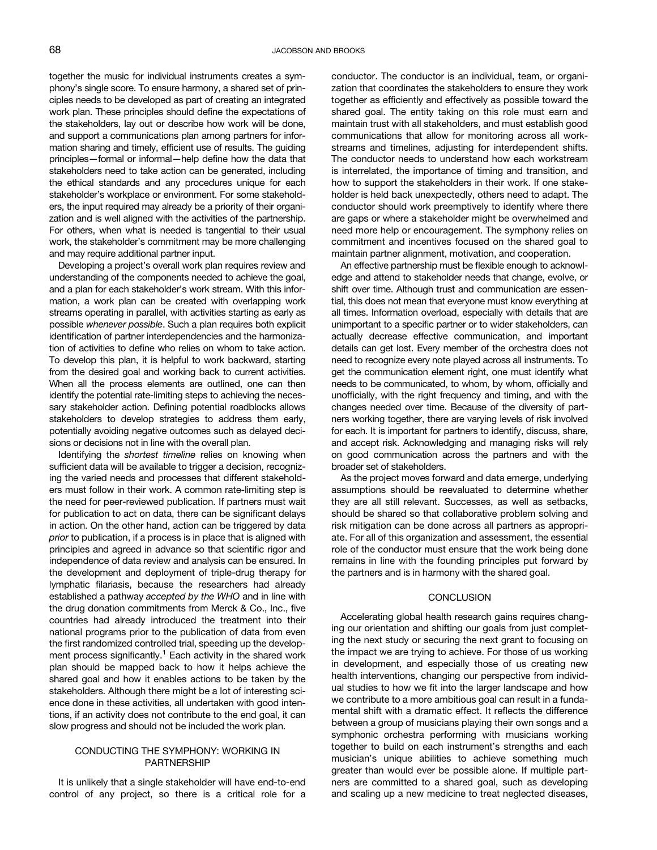together the music for individual instruments creates a symphony's single score. To ensure harmony, a shared set of principles needs to be developed as part of creating an integrated work plan. These principles should define the expectations of the stakeholders, lay out or describe how work will be done, and support a communications plan among partners for information sharing and timely, efficient use of results. The guiding principles—formal or informal—help define how the data that stakeholders need to take action can be generated, including the ethical standards and any procedures unique for each stakeholder's workplace or environment. For some stakeholders, the input required may already be a priority of their organization and is well aligned with the activities of the partnership. For others, when what is needed is tangential to their usual work, the stakeholder's commitment may be more challenging and may require additional partner input.

Developing a project's overall work plan requires review and understanding of the components needed to achieve the goal, and a plan for each stakeholder's work stream. With this information, a work plan can be created with overlapping work streams operating in parallel, with activities starting as early as possible whenever possible. Such a plan requires both explicit identification of partner interdependencies and the harmonization of activities to define who relies on whom to take action. To develop this plan, it is helpful to work backward, starting from the desired goal and working back to current activities. When all the process elements are outlined, one can then identify the potential rate-limiting steps to achieving the necessary stakeholder action. Defining potential roadblocks allows stakeholders to develop strategies to address them early, potentially avoiding negative outcomes such as delayed decisions or decisions not in line with the overall plan.

Identifying the shortest timeline relies on knowing when sufficient data will be available to trigger a decision, recognizing the varied needs and processes that different stakeholders must follow in their work. A common rate-limiting step is the need for peer-reviewed publication. If partners must wait for publication to act on data, there can be significant delays in action. On the other hand, action can be triggered by data prior to publication, if a process is in place that is aligned with principles and agreed in advance so that scientific rigor and independence of data review and analysis can be ensured. In the development and deployment of triple-drug therapy for lymphatic filariasis, because the researchers had already established a pathway accepted by the WHO and in line with the drug donation commitments from Merck & Co., Inc., five countries had already introduced the treatment into their national programs prior to the publication of data from even the first randomized controlled trial, speeding up the development process significantly. $1$  Each activity in the shared work plan should be mapped back to how it helps achieve the shared goal and how it enables actions to be taken by the stakeholders. Although there might be a lot of interesting science done in these activities, all undertaken with good intentions, if an activity does not contribute to the end goal, it can slow progress and should not be included the work plan.

## CONDUCTING THE SYMPHONY: WORKING IN PARTNERSHIP

It is unlikely that a single stakeholder will have end-to-end control of any project, so there is a critical role for a conductor. The conductor is an individual, team, or organization that coordinates the stakeholders to ensure they work together as efficiently and effectively as possible toward the shared goal. The entity taking on this role must earn and maintain trust with all stakeholders, and must establish good communications that allow for monitoring across all workstreams and timelines, adjusting for interdependent shifts. The conductor needs to understand how each workstream is interrelated, the importance of timing and transition, and how to support the stakeholders in their work. If one stakeholder is held back unexpectedly, others need to adapt. The conductor should work preemptively to identify where there are gaps or where a stakeholder might be overwhelmed and need more help or encouragement. The symphony relies on commitment and incentives focused on the shared goal to maintain partner alignment, motivation, and cooperation.

An effective partnership must be flexible enough to acknowledge and attend to stakeholder needs that change, evolve, or shift over time. Although trust and communication are essential, this does not mean that everyone must know everything at all times. Information overload, especially with details that are unimportant to a specific partner or to wider stakeholders, can actually decrease effective communication, and important details can get lost. Every member of the orchestra does not need to recognize every note played across all instruments. To get the communication element right, one must identify what needs to be communicated, to whom, by whom, officially and unofficially, with the right frequency and timing, and with the changes needed over time. Because of the diversity of partners working together, there are varying levels of risk involved for each. It is important for partners to identify, discuss, share, and accept risk. Acknowledging and managing risks will rely on good communication across the partners and with the broader set of stakeholders.

As the project moves forward and data emerge, underlying assumptions should be reevaluated to determine whether they are all still relevant. Successes, as well as setbacks, should be shared so that collaborative problem solving and risk mitigation can be done across all partners as appropriate. For all of this organization and assessment, the essential role of the conductor must ensure that the work being done remains in line with the founding principles put forward by the partners and is in harmony with the shared goal.

#### **CONCLUSION**

Accelerating global health research gains requires changing our orientation and shifting our goals from just completing the next study or securing the next grant to focusing on the impact we are trying to achieve. For those of us working in development, and especially those of us creating new health interventions, changing our perspective from individual studies to how we fit into the larger landscape and how we contribute to a more ambitious goal can result in a fundamental shift with a dramatic effect. It reflects the difference between a group of musicians playing their own songs and a symphonic orchestra performing with musicians working together to build on each instrument's strengths and each musician's unique abilities to achieve something much greater than would ever be possible alone. If multiple partners are committed to a shared goal, such as developing and scaling up a new medicine to treat neglected diseases,